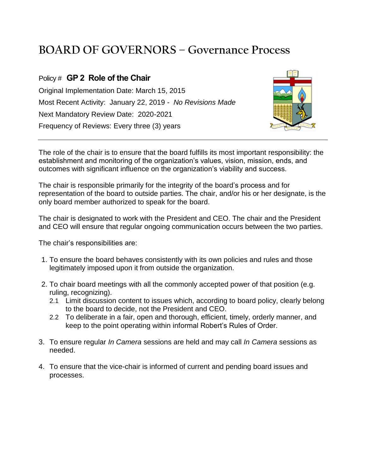## **BOARD OF GOVERNORS – Governance Process**

## Policy # **GP 2 Role of the Chair**

Original Implementation Date: March 15, 2015 Most Recent Activity: January 22, 2019 - *No Revisions Made* Next Mandatory Review Date: 2020-2021 Frequency of Reviews: Every three (3) years



The role of the chair is to ensure that the board fulfills its most important responsibility: the establishment and monitoring of the organization's values, vision, mission, ends, and outcomes with significant influence on the organization's viability and success.

The chair is responsible primarily for the integrity of the board's process and for representation of the board to outside parties. The chair, and/or his or her designate, is the only board member authorized to speak for the board.

The chair is designated to work with the President and CEO. The chair and the President and CEO will ensure that regular ongoing communication occurs between the two parties.

The chair's responsibilities are:

- 1. To ensure the board behaves consistently with its own policies and rules and those legitimately imposed upon it from outside the organization.
- 2. To chair board meetings with all the commonly accepted power of that position (e.g. ruling, recognizing).
	- 2.1 Limit discussion content to issues which, according to board policy, clearly belong to the board to decide, not the President and CEO.
	- 2.2 To deliberate in a fair, open and thorough, efficient, timely, orderly manner, and keep to the point operating within informal Robert's Rules of Order.
- 3. To ensure regular *In Camera* sessions are held and may call *In Camera* sessions as needed.
- 4. To ensure that the vice-chair is informed of current and pending board issues and processes.